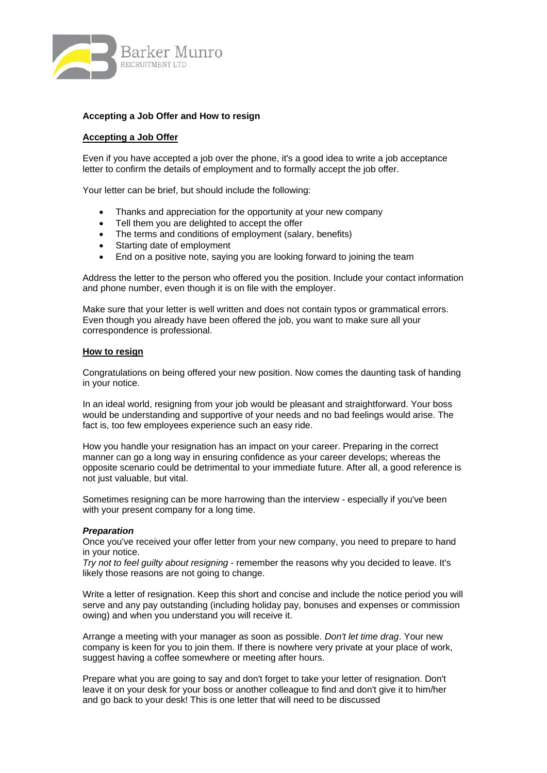

## **Accepting a Job Offer and How to resign**

## **Accepting a Job Offer**

Even if you have accepted a job over the phone, it's a good idea to write a job acceptance letter to confirm the details of employment and to formally accept the job offer.

Your letter can be brief, but should include the following:

- Thanks and appreciation for the opportunity at your new company
- Tell them you are delighted to accept the offer
- The terms and conditions of employment (salary, benefits)
- Starting date of employment
- End on a positive note, saying you are looking forward to joining the team

Address the letter to the person who offered you the position. Include your contact information and phone number, even though it is on file with the employer.

Make sure that your letter is well written and does not contain typos or grammatical errors. Even though you already have been offered the job, you want to make sure all your correspondence is professional.

### **How to resign**

Congratulations on being offered your new position. Now comes the daunting task of handing in your notice.

In an ideal world, resigning from your job would be pleasant and straightforward. Your boss would be understanding and supportive of your needs and no bad feelings would arise. The fact is, too few employees experience such an easy ride.

How you handle your resignation has an impact on your career. Preparing in the correct manner can go a long way in ensuring confidence as your career develops; whereas the opposite scenario could be detrimental to your immediate future. After all, a good reference is not just valuable, but vital.

Sometimes resigning can be more harrowing than the interview - especially if you've been with your present company for a long time.

### *Preparation*

Once you've received your offer letter from your new company, you need to prepare to hand in your notice.

*Try not to feel guilty about resigning* - remember the reasons why you decided to leave. It's likely those reasons are not going to change.

Write a letter of resignation. Keep this short and concise and include the notice period you will serve and any pay outstanding (including holiday pay, bonuses and expenses or commission owing) and when you understand you will receive it.

Arrange a meeting with your manager as soon as possible. *Don't let time drag*. Your new company is keen for you to join them. If there is nowhere very private at your place of work, suggest having a coffee somewhere or meeting after hours.

Prepare what you are going to say and don't forget to take your letter of resignation. Don't leave it on your desk for your boss or another colleague to find and don't give it to him/her and go back to your desk! This is one letter that will need to be discussed